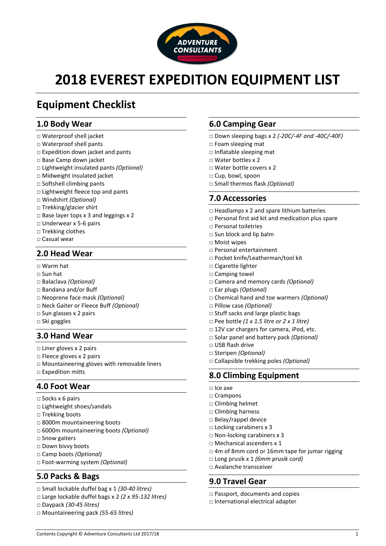

# **2018 EVEREST EXPEDITION EQUIPMENT LIST**

# **Equipment Checklist**

# **1.0 Body Wear**

- □ Waterproof shell jacket
- □ Waterproof shell pants
- □ Expedition down jacket and pants
- □ Base Camp down jacket
- □ Lightweight insulated pants *(Optional)*
- □ Midweight insulated jacket
- □ Softshell climbing pants
- □ Lightweight fleece top and pants
- □ Windshirt *(Optional)*
- □ Trekking/glacier shirt
- □ Base layer tops x 3 and leggings x 2
- □ Underwear x 5-6 pairs
- □ Trekking clothes
- □ Casual wear

# **2.0 Head Wear**

- □ Warm hat
- $\Box$  Sun hat
- □ Balaclava *(Optional)*
- □ Bandana and/or Buff
- □ Neoprene face mask *(Optional)*
- □ Neck Gaiter or Fleece Buff *(Optional)*
- □ Sun glasses x 2 pairs
- □ Ski goggles

# **3.0 Hand Wear**

- □ Liner gloves x 2 pairs
- □ Fleece gloves x 2 pairs
- □ Mountaineering gloves with removable liners
- □ Expedition mitts

# **4.0 Foot Wear**

- $\square$  Socks x 6 pairs
- □ Lightweight shoes/sandals
- □ Trekking boots
- □ 8000m mountaineering boots
- □ 6000m mountaineering boots *(Optional)*
- □ Snow gaiters
- □ Down bivvy boots
- □ Camp boots *(Optional)*
- □ Foot-warming system *(Optional)*

# **5.0 Packs & Bags**

- □ Small lockable duffel bag x 1 *(30-40 litres)*
- □ Large lockable duffel bags x 2 *(2 x 95-132 litres)*
- □ Daypack *(30-45 litres)*
- □ Mountaineering pack *(55-65 litres)*

# **6.0 Camping Gear**

- □ Down sleeping bags x 2 *(-20C/-4F and -40C/-40F)*
- □ Foam sleeping mat
- □ Inflatable sleeping mat
- □ Water bottles x 2
- □ Water bottle covers x 2
- □ Cup, bowl, spoon
- □ Small thermos flask *(Optional)*

# **7.0 Accessories**

- $\Box$  Headlamps x 2 and spare lithium batteries
- □ Personal first aid kit and medication plus spare
- □ Personal toiletries
- $\square$  Sun block and lip balm
- □ Moist wipes
- □ Personal entertainment
- □ Pocket knife/Leatherman/tool kit
- □ Cigarette lighter
- □ Camping towel
- □ Camera and memory cards *(Optional)*
- □ Ear plugs *(Optional)*
- □ Chemical hand and toe warmers *(Optional)*
- □ Pillow case *(Optional)*
- □ Stuff sacks and large plastic bags
- □ Pee bottle *(1 x 1.5 litre or 2 x 1 litre)*
- □ 12V car chargers for camera, iPod, etc.
- □ Solar panel and battery pack *(Optional)*
- □ USB flash drive
- □ Steripen *(Optional)*
- □ Collapsible trekking poles *(Optional)*

# **8.0 Climbing Equipment**

- □ Ice axe
- □ Crampons
- □ Climbing helmet
- □ Climbing harness
- □ Belay/rappel device
- □ Locking carabiners x 3
- □ Non-locking carabiners x 3
- □ Mechanical ascenders x 1
- □ 4m of 8mm cord or 16mm tape for jumar rigging
- □ Long prusik x 1 *(6mm prusik cord)*
- □ Avalanche transceiver

# **9.0 Travel Gear**

- □ Passport, documents and copies
- □ International electrical adapter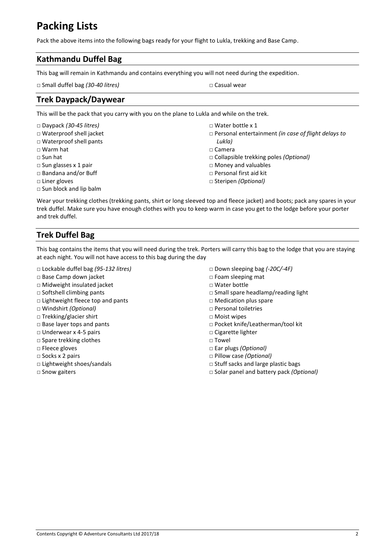# **Packing Lists**

Pack the above items into the following bags ready for your flight to Lukla, trekking and Base Camp.

# **Kathmandu Duffel Bag**

This bag will remain in Kathmandu and contains everything you will not need during the expedition.

□ Small duffel bag *(30-40 litres)* □ Casual wear

# **Trek Daypack/Daywear**

This will be the pack that you carry with you on the plane to Lukla and while on the trek.

| $\Box$ Daypack (30-45 litres) | $\Box$ Water bottle x 1                                    |
|-------------------------------|------------------------------------------------------------|
| □ Waterproof shell jacket     | $\Box$ Personal entertainment (in case of flight delays to |
| $\Box$ Waterproof shell pants | Lukla)                                                     |
| $\Box$ Warm hat               | $\Box$ Camera                                              |
| $\Box$ Sun hat                | $\Box$ Collapsible trekking poles <i>(Optional)</i>        |
| $\Box$ Sun glasses x 1 pair   | $\Box$ Money and valuables                                 |
| $\Box$ Bandana and/or Buff    | $\Box$ Personal first aid kit                              |
| $\Box$ Liner gloves           | $\Box$ Steripen (Optional)                                 |
| $\Box$ Sun block and lip balm |                                                            |

Wear your trekking clothes (trekking pants, shirt or long sleeved top and fleece jacket) and boots; pack any spares in your trek duffel. Make sure you have enough clothes with you to keep warm in case you get to the lodge before your porter and trek duffel.

# **Trek Duffel Bag**

This bag contains the items that you will need during the trek. Porters will carry this bag to the lodge that you are staying at each night. You will not have access to this bag during the day

- □ Lockable duffel bag *(95-132 litres)*
- □ Base Camp down jacket
- **□** Midweight insulated jacket
- □ Softshell climbing pants
- □ Lightweight fleece top and pants
- □ Windshirt *(Optional)*
- □ Trekking/glacier shirt
- □ Base layer tops and pants
- □ Underwear x 4-5 pairs
- □ Spare trekking clothes
- □ Fleece gloves
- □ Socks x 2 pairs
- □ Lightweight shoes/sandals
- □ Snow gaiters
- □ Down sleeping bag *(-20C/-4F)*
- □ Foam sleeping mat
- □ Water bottle
- □ Small spare headlamp/reading light
- □ Medication plus spare
- □ Personal toiletries
- □ Moist wipes
- □ Pocket knife/Leatherman/tool kit
- □ Cigarette lighter
- □ Towel
- □ Ear plugs *(Optional)*
- □ Pillow case *(Optional)*
- □ Stuff sacks and large plastic bags
- □ Solar panel and battery pack *(Optional)*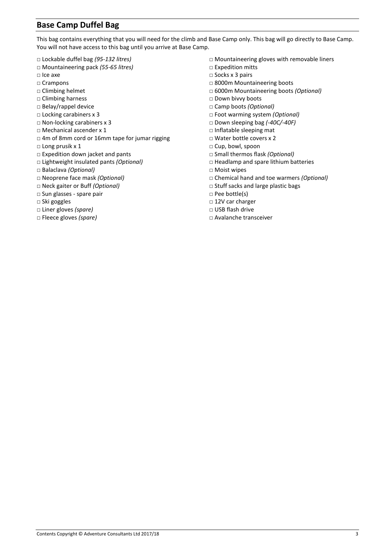# **Base Camp Duffel Bag**

This bag contains everything that you will need for the climb and Base Camp only. This bag will go directly to Base Camp. You will not have access to this bag until you arrive at Base Camp.

- □ Lockable duffel bag *(95-132 litres)*
- □ Mountaineering pack *(55-65 litres)*
- □ Ice axe
- □ Crampons
- □ Climbing helmet
- □ Climbing harness
- □ Belay/rappel device
- □ Locking carabiners x 3
- □ Non-locking carabiners x 3
- □ Mechanical ascender x 1
- □ 4m of 8mm cord or 16mm tape for jumar rigging
- □ Long prusik x 1
- □ Expedition down jacket and pants
- □ Lightweight insulated pants *(Optional)*
- □ Balaclava *(Optional)*
- □ Neoprene face mask *(Optional)*
- □ Neck gaiter or Buff *(Optional)*
- □ Sun glasses spare pair
- □ Ski goggles
- □ Liner gloves *(spare)*
- □ Fleece gloves *(spare)*
- □ Mountaineering gloves with removable liners
- □ Expedition mitts
- □ Socks x 3 pairs
- □ 8000m Mountaineering boots
- □ 6000m Mountaineering boots *(Optional)*
- □ Down bivvy boots
- □ Camp boots *(Optional)*
- □ Foot warming system *(Optional)*
- □ Down sleeping bag *(-40C/-40F)*
- □ Inflatable sleeping mat
- □ Water bottle covers x 2
- □ Cup, bowl, spoon
- □ Small thermos flask *(Optional)*
- □ Headlamp and spare lithium batteries
- □ Moist wipes
- □ Chemical hand and toe warmers *(Optional)*
- □ Stuff sacks and large plastic bags
- □ Pee bottle(s)
- □ 12V car charger
- □ USB flash drive
- □ Avalanche transceiver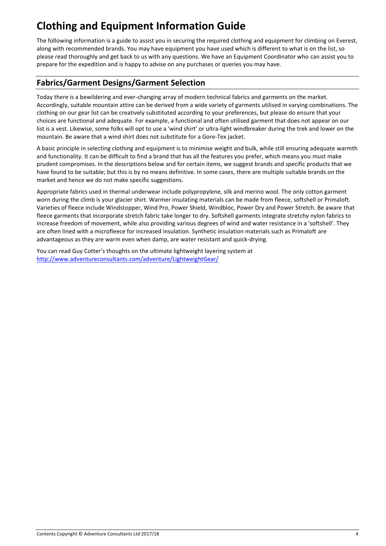# **Clothing and Equipment Information Guide**

The following information is a guide to assist you in securing the required clothing and equipment for climbing on Everest, along with recommended brands. You may have equipment you have used which is different to what is on the list, so please read thoroughly and get back to us with any questions. We have an Equipment Coordinator who can assist you to prepare for the expedition and is happy to advise on any purchases or queries you may have.

# **Fabrics/Garment Designs/Garment Selection**

Today there is a bewildering and ever-changing array of modern technical fabrics and garments on the market. Accordingly, suitable mountain attire can be derived from a wide variety of garments utilised in varying combinations. The clothing on our gear list can be creatively substituted according to your preferences, but please do ensure that your choices are functional and adequate. For example, a functional and often utilised garment that does not appear on our list is a vest. Likewise, some folks will opt to use a 'wind shirt' or ultra-light windbreaker during the trek and lower on the mountain. Be aware that a wind shirt does not substitute for a Gore-Tex jacket.

A basic principle in selecting clothing and equipment is to minimise weight and bulk, while still ensuring adequate warmth and functionality. It can be difficult to find a brand that has all the features you prefer, which means you must make prudent compromises. In the descriptions below and for certain items, we suggest brands and specific products that we have found to be suitable; but this is by no means definitive. In some cases, there are multiple suitable brands on the market and hence we do not make specific suggestions.

Appropriate fabrics used in thermal underwear include polypropylene, silk and merino wool. The only cotton garment worn during the climb is your glacier shirt. Warmer insulating materials can be made from fleece, softshell or Primaloft. Varieties of fleece include Windstopper, Wind Pro, Power Shield, Windbloc, Power Dry and Power Stretch. Be aware that fleece garments that incorporate stretch fabric take longer to dry. Softshell garments integrate stretchy nylon fabrics to increase freedom of movement, while also providing various degrees of wind and water resistance in a 'softshell'. They are often lined with a microfleece for increased insulation. Synthetic insulation materials such as Primaloft are advantageous as they are warm even when damp, are water resistant and quick-drying.

You can read Guy Cotter's thoughts on the ultimate lightweight layering system at <http://www.adventureconsultants.com/adventure/LightweightGear/>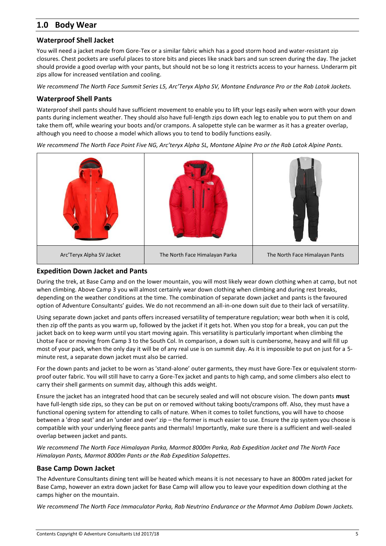# **1.0 Body Wear**

## **Waterproof Shell Jacket**

You will need a jacket made from Gore-Tex or a similar fabric which has a good storm hood and water-resistant zip closures. Chest pockets are useful places to store bits and pieces like snack bars and sun screen during the day. The jacket should provide a good overlap with your pants, but should not be so long it restricts access to your harness. Underarm pit zips allow for increased ventilation and cooling.

*We recommend The North Face Summit Series L5, Arc'Teryx Alpha SV, Montane Endurance Pro or the Rab Latok Jackets.*

#### **Waterproof Shell Pants**

Waterproof shell pants should have sufficient movement to enable you to lift your legs easily when worn with your down pants during inclement weather. They should also have full-length zips down each leg to enable you to put them on and take them off, while wearing your boots and/or crampons. A salopette style can be warmer as it has a greater overlap, although you need to choose a model which allows you to tend to bodily functions easily.

*We recommend The North Face Point Five NG, Arc'teryx Alpha SL, Montane Alpine Pro or the Rab Latok Alpine Pants.*



## **Expedition Down Jacket and Pants**

During the trek, at Base Camp and on the lower mountain, you will most likely wear down clothing when at camp, but not when climbing. Above Camp 3 you will almost certainly wear down clothing when climbing and during rest breaks, depending on the weather conditions at the time. The combination of separate down jacket and pants is the favoured option of Adventure Consultants' guides. We do not recommend an all-in-one down suit due to their lack of versatility.

Using separate down jacket and pants offers increased versatility of temperature regulation; wear both when it is cold, then zip off the pants as you warm up, followed by the jacket if it gets hot. When you stop for a break, you can put the jacket back on to keep warm until you start moving again. This versatility is particularly important when climbing the Lhotse Face or moving from Camp 3 to the South Col. In comparison, a down suit is cumbersome, heavy and will fill up most of your pack, when the only day it will be of any real use is on summit day. As it is impossible to put on just for a 5 minute rest, a separate down jacket must also be carried.

For the down pants and jacket to be worn as 'stand-alone' outer garments, they must have Gore-Tex or equivalent stormproof outer fabric. You will still have to carry a Gore-Tex jacket and pants to high camp, and some climbers also elect to carry their shell garments on summit day, although this adds weight.

Ensure the jacket has an integrated hood that can be securely sealed and will not obscure vision. The down pants **must** have full-length side zips, so they can be put on or removed without taking boots/crampons off. Also, they must have a functional opening system for attending to calls of nature. When it comes to toilet functions, you will have to choose between a 'drop seat' and an 'under and over' zip – the former is much easier to use. Ensure the zip system you choose is compatible with your underlying fleece pants and thermals! Importantly, make sure there is a sufficient and well-sealed overlap between jacket and pants.

*We recommend The North Face Himalayan Parka, Marmot 8000m Parka, Rab Expedition Jacket and The North Face Himalayan Pants, Marmot 8000m Pants or the Rab Expedition Salopettes.*

#### **Base Camp Down Jacket**

The Adventure Consultants dining tent will be heated which means it is not necessary to have an 8000m rated jacket for Base Camp, however an extra down jacket for Base Camp will allow you to leave your expedition down clothing at the camps higher on the mountain.

*We recommend The North Face Immaculator Parka, Rab Neutrino Endurance or the Marmot Ama Dablam Down Jackets.*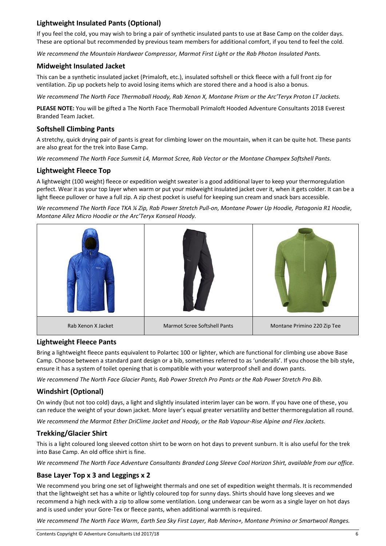# **Lightweight Insulated Pants (Optional)**

If you feel the cold, you may wish to bring a pair of synthetic insulated pants to use at Base Camp on the colder days. These are optional but recommended by previous team members for additional comfort, if you tend to feel the cold.

*We recommend the Mountain Hardwear Compressor, Marmot First Light or the Rab Photon Insulated Pants.*

#### **Midweight Insulated Jacket**

This can be a synthetic insulated jacket (Primaloft, etc.), insulated softshell or thick fleece with a full front zip for ventilation. Zip up pockets help to avoid losing items which are stored there and a hood is also a bonus.

*We recommend The North Face Thermoball Hoody, Rab Xenon X, Montane Prism or the Arc'Teryx Proton LT Jackets.*

**PLEASE NOTE:** You will be gifted a The North Face Thermoball Primaloft Hooded Adventure Consultants 2018 Everest Branded Team Jacket.

## **Softshell Climbing Pants**

A stretchy, quick drying pair of pants is great for climbing lower on the mountain, when it can be quite hot. These pants are also great for the trek into Base Camp.

*We recommend The North Face Summit L4, Marmot Scree, Rab Vector or the Montane Champex Softshell Pants.*

#### **Lightweight Fleece Top**

A lightweight (100 weight) fleece or expedition weight sweater is a good additional layer to keep your thermoregulation perfect. Wear it as your top layer when warm or put your midweight insulated jacket over it, when it gets colder. It can be a light fleece pullover or have a full zip. A zip chest pocket is useful for keeping sun cream and snack bars accessible.

*We recommend The North Face TKA ¼ Zip, Rab Power Stretch Pull-on, Montane Power Up Hoodie, Patagonia R1 Hoodie, Montane Allez Micro Hoodie or the Arc'Teryx Konseal Hoody.*



#### **Lightweight Fleece Pants**

Bring a lightweight fleece pants equivalent to Polartec 100 or lighter, which are functional for climbing use above Base Camp. Choose between a standard pant design or a bib, sometimes referred to as 'underalls'. If you choose the bib style, ensure it has a system of toilet opening that is compatible with your waterproof shell and down pants.

*We recommend The North Face Glacier Pants, Rab Power Stretch Pro Pants or the Rab Power Stretch Pro Bib.*

## **Windshirt (Optional)**

On windy (but not too cold) days, a light and slightly insulated interim layer can be worn. If you have one of these, you can reduce the weight of your down jacket. More layer's equal greater versatility and better thermoregulation all round.

*We recommend the Marmot Ether DriClime Jacket and Hoody, or the Rab Vapour-Rise Alpine and Flex Jackets.*

## **Trekking/Glacier Shirt**

This is a light coloured long sleeved cotton shirt to be worn on hot days to prevent sunburn. It is also useful for the trek into Base Camp. An old office shirt is fine.

*We recommend The North Face Adventure Consultants Branded Long Sleeve Cool Horizon Shirt, available from our office.*

## **Base Layer Top x 3 and Leggings x 2**

We recommend you bring one set of lighweight thermals and one set of expedition weight thermals. It is recommended that the lightweight set has a white or lightly coloured top for sunny days. Shirts should have long sleeves and we recommend a high neck with a zip to allow some ventilation. Long underwear can be worn as a single layer on hot days and is used under your Gore-Tex or fleece pants, when additional warmth is required.

*We recommend The North Face Warm, Earth Sea Sky First Layer, Rab Merino+, Montane Primino or Smartwool Ranges.*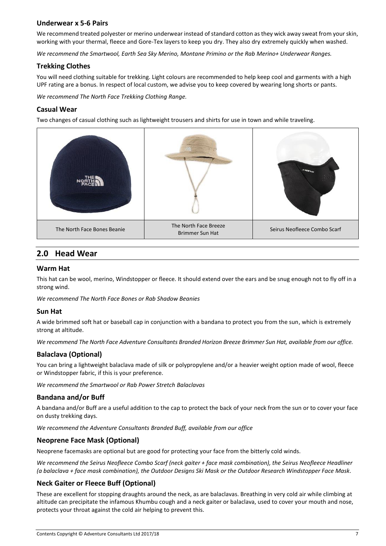#### **Underwear x 5-6 Pairs**

We recommend treated polyester or merino underwear instead of standard cotton as they wick away sweat from your skin, working with your thermal, fleece and Gore-Tex layers to keep you dry. They also dry extremely quickly when washed.

*We recommend the Smartwool, Earth Sea Sky Merino, Montane Primino or the Rab Merino+ Underwear Ranges.*

#### **Trekking Clothes**

You will need clothing suitable for trekking. Light colours are recommended to help keep cool and garments with a high UPF rating are a bonus. In respect of local custom, we advise you to keep covered by wearing long shorts or pants.

*We recommend The North Face Trekking Clothing Range.*

#### **Casual Wear**

Two changes of casual clothing such as lightweight trousers and shirts for use in town and while traveling.



# **2.0 Head Wear**

#### **Warm Hat**

This hat can be wool, merino, Windstopper or fleece. It should extend over the ears and be snug enough not to fly off in a strong wind.

*We recommend The North Face Bones or Rab Shadow Beanies*

#### **Sun Hat**

A wide brimmed soft hat or baseball cap in conjunction with a bandana to protect you from the sun, which is extremely strong at altitude.

*We recommend The North Face Adventure Consultants Branded Horizon Breeze Brimmer Sun Hat, available from our office.*

## **Balaclava (Optional)**

You can bring a lightweight balaclava made of silk or polypropylene and/or a heavier weight option made of wool, fleece or Windstopper fabric, if this is your preference.

*We recommend the Smartwool or Rab Power Stretch Balaclavas*

#### **Bandana and/or Buff**

A bandana and/or Buff are a useful addition to the cap to protect the back of your neck from the sun or to cover your face on dusty trekking days.

*We recommend the Adventure Consultants Branded Buff, available from our office*

#### **Neoprene Face Mask (Optional)**

Neoprene facemasks are optional but are good for protecting your face from the bitterly cold winds.

We recommend the Seirus Neofleece Combo Scarf (neck gaiter + face mask combination), the Seirus Neofleece Headliner *(a balaclava + face mask combination), the Outdoor Designs Ski Mask or the Outdoor Research Windstopper Face Mask.*

#### **Neck Gaiter or Fleece Buff (Optional)**

These are excellent for stopping draughts around the neck, as are balaclavas. Breathing in very cold air while climbing at altitude can precipitate the infamous Khumbu cough and a neck gaiter or balaclava, used to cover your mouth and nose, protects your throat against the cold air helping to prevent this.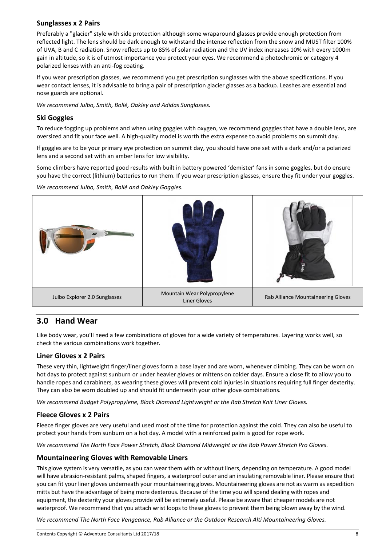## **Sunglasses x 2 Pairs**

Preferably a "glacier" style with side protection although some wraparound glasses provide enough protection from reflected light. The lens should be dark enough to withstand the intense reflection from the snow and MUST filter 100% of UVA, B and C radiation. Snow reflects up to 85% of solar radiation and the UV index increases 10% with every 1000m gain in altitude, so it is of utmost importance you protect your eyes. We recommend a photochromic or category 4 polarized lenses with an anti-fog coating.

If you wear prescription glasses, we recommend you get prescription sunglasses with the above specifications. If you wear contact lenses, it is advisable to bring a pair of prescription glacier glasses as a backup. Leashes are essential and nose guards are optional.

*We recommend Julbo, Smith, Bollé, Oakley and Adidas Sunglasses.*

## **Ski Goggles**

To reduce fogging up problems and when using goggles with oxygen, we recommend goggles that have a double lens, are oversized and fit your face well. A high-quality model is worth the extra expense to avoid problems on summit day.

If goggles are to be your primary eye protection on summit day, you should have one set with a dark and/or a polarized lens and a second set with an amber lens for low visibility.

Some climbers have reported good results with built in battery powered 'demister' fans in some goggles, but do ensure you have the correct (lithium) batteries to run them. If you wear prescription glasses, ensure they fit under your goggles.

*We recommend Julbo, Smith, Bollé and Oakley Goggles.*



# **3.0 Hand Wear**

Like body wear, you'll need a few combinations of gloves for a wide variety of temperatures. Layering works well, so check the various combinations work together.

#### **Liner Gloves x 2 Pairs**

These very thin, lightweight finger/liner gloves form a base layer and are worn, whenever climbing. They can be worn on hot days to protect against sunburn or under heavier gloves or mittens on colder days. Ensure a close fit to allow you to handle ropes and carabiners, as wearing these gloves will prevent cold injuries in situations requiring full finger dexterity. They can also be worn doubled up and should fit underneath your other glove combinations.

*We recommend Budget Polypropylene, Black Diamond Lightweight or the Rab Stretch Knit Liner Gloves.*

## **Fleece Gloves x 2 Pairs**

Fleece finger gloves are very useful and used most of the time for protection against the cold. They can also be useful to protect your hands from sunburn on a hot day. A model with a reinforced palm is good for rope work.

*We recommend The North Face Power Stretch, Black Diamond Midweight or the Rab Power Stretch Pro Gloves.*

## **Mountaineering Gloves with Removable Liners**

This glove system is very versatile, as you can wear them with or without liners, depending on temperature. A good model will have abrasion-resistant palms, shaped fingers, a waterproof outer and an insulating removable liner. Please ensure that you can fit your liner gloves underneath your mountaineering gloves. Mountaineering gloves are not as warm as expedition mitts but have the advantage of being more dexterous. Because of the time you will spend dealing with ropes and equipment, the dexterity your gloves provide will be extremely useful. Please be aware that cheaper models are not waterproof. We recommend that you attach wrist loops to these gloves to prevent them being blown away by the wind.

*We recommend The North Face Vengeance, Rab Alliance or the Outdoor Research Alti Mountaineering Gloves.*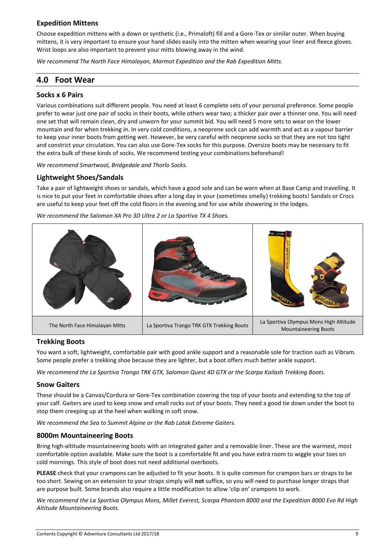#### **Expedition Mittens**

Choose expedition mittens with a down or synthetic (i.e., Primaloft) fill and a Gore-Tex or similar outer. When buying mittens, it is very important to ensure your hand slides easily into the mitten when wearing your liner and fleece gloves. Wrist loops are also important to prevent your mitts blowing away in the wind.

*We recommend The North Face Himalayan, Marmot Expedition and the Rab Expedition Mitts.*

# **4.0 Foot Wear**

#### **Socks x 6 Pairs**

Various combinations suit different people. You need at least 6 complete sets of your personal preference. Some people prefer to wear just one pair of socks in their boots, while others wear two; a thicker pair over a thinner one. You will need one set that will remain clean, dry and unworn for your summit bid. You will need 5 more sets to wear on the lower mountain and for when trekking in. In very cold conditions, a neoprene sock can add warmth and act as a vapour barrier to keep your inner boots from getting wet. However, be very careful with neoprene socks so that they are not too tight and constrict your circulation. You can also use Gore-Tex socks for this purpose. Oversize boots may be necessary to fit the extra bulk of these kinds of socks. We recommend testing your combinations beforehand!

*We recommend Smartwool, Bridgedale and Thorlo Socks.*

#### **Lightweight Shoes/Sandals**

Take a pair of lightweight shoes or sandals, which have a good sole and can be worn when at Base Camp and travelling. It is nice to put your feet in comfortable shoes after a long day in your (sometimes smelly) trekking boots! Sandals or Crocs are useful to keep your feet off the cold floors in the evening and for use while showering in the lodges.

*We recommend the Salomon XA Pro 3D Ultra 2 or La Sportiva TX 4 Shoes.*



#### **Trekking Boots**

You want a soft, lightweight, comfortable pair with good ankle support and a reasonable sole for traction such as Vibram. Some people prefer a trekking shoe because they are lighter, but a boot offers much better ankle support.

*We recommend the La Sportiva Trango TRK GTX, Salomon Quest 4D GTX or the Scarpa Kailash Trekking Boots.*

#### **Snow Gaiters**

These should be a Canvas/Cordura or Gore-Tex combination covering the top of your boots and extending to the top of your calf. Gaiters are used to keep snow and small rocks out of your boots. They need a good tie down under the boot to stop them creeping up at the heel when walking in soft snow.

*We recommend the Sea to Summit Alpine or the Rab Latok Extreme Gaiters.*

#### **8000m Mountaineering Boots**

Bring high-altitude mountaineering boots with an integrated gaiter and a removable liner. These are the warmest, most comfortable option available. Make sure the boot is a comfortable fit and you have extra room to wiggle your toes on cold mornings. This style of boot does not need additional overboots.

**PLEASE** check that your crampons can be adjusted to fit your boots. It is quite common for crampon bars or straps to be too short. Sewing on an extension to your straps simply will **not** suffice, so you will need to purchase longer straps that are purpose built. Some brands also require a little modification to allow 'clip on' crampons to work.

*We recommend the La Sportiva Olympus Mons, Millet Everest, Scarpa Phantom 8000 and the Expedition 8000 Evo Rd High Altitude Mountaineering Boots.*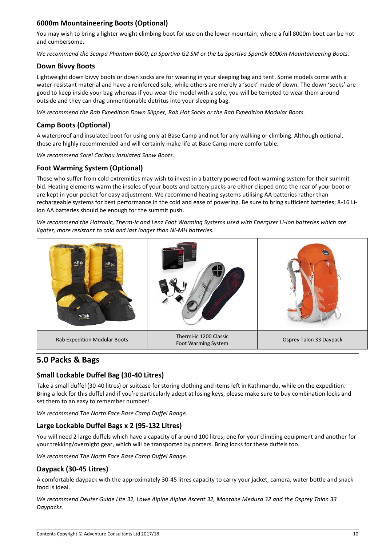# **6000m Mountaineering Boots (Optional)**

You may wish to bring a lighter weight climbing boot for use on the lower mountain, where a full 8000m boot can be hot and cumbersome.

*We recommend the Scarpa Phantom 6000, La Sportiva G2 SM or the La Sportiva Spantik 6000m Mountaineering Boots.*

#### **Down Bivvy Boots**

Lightweight down bivvy boots or down socks are for wearing in your sleeping bag and tent. Some models come with a water-resistant material and have a reinforced sole, while others are merely a 'sock' made of down. The down 'socks' are good to keep inside your bag whereas if you wear the model with a sole, you will be tempted to wear them around outside and they can drag unmentionable detritus into your sleeping bag.

*We recommend the Rab Expedition Down Slipper, Rab Hot Socks or the Rab Expedition Modular Boots.*

# **Camp Boots (Optional)**

A waterproof and insulated boot for using only at Base Camp and not for any walking or climbing. Although optional, these are highly recommended and will certainly make life at Base Camp more comfortable.

*We recommend Sorel Caribou Insulated Snow Boots.*

# **Foot Warming System (Optional)**

Those who suffer from cold extremities may wish to invest in a battery powered foot-warming system for their summit bid. Heating elements warm the insoles of your boots and battery packs are either clipped onto the rear of your boot or are kept in your pocket for easy adjustment. We recommend heating systems utilising AA batteries rather than rechargeable systems for best performance in the cold and ease of powering. Be sure to bring sufficient batteries; 8-16 Liion AA batteries should be enough for the summit push.

*We recommend the Hotronic, Therm-ic and Lenz Foot Warming Systems used with Energizer Li-Ion batteries which are lighter, more resistant to cold and last longer than Ni-MH batteries.*



# **5.0 Packs & Bags**

# **Small Lockable Duffel Bag (30-40 Litres)**

Take a small duffel (30-40 litres) or suitcase for storing clothing and items left in Kathmandu, while on the expedition. Bring a lock for this duffel and if you're particularly adept at losing keys, please make sure to buy combination locks and set them to an easy to remember number!

*We recommend The North Face Base Camp Duffel Range.*

## **Large Lockable Duffel Bags x 2 (95-132 Litres)**

You will need 2 large duffels which have a capacity of around 100 litres; one for your climbing equipment and another for your trekking/overnight gear, which will be transported by porters. Bring locks for these duffels too.

*We recommend The North Face Base Camp Duffel Range.*

## **Daypack (30-45 Litres)**

A comfortable daypack with the approximately 30-45 litres capacity to carry your jacket, camera, water bottle and snack food is ideal.

*We recommend Deuter Guide Lite 32, Lowe Alpine Alpine Ascent 32, Montane Medusa 32 and the Osprey Talon 33 Daypacks.*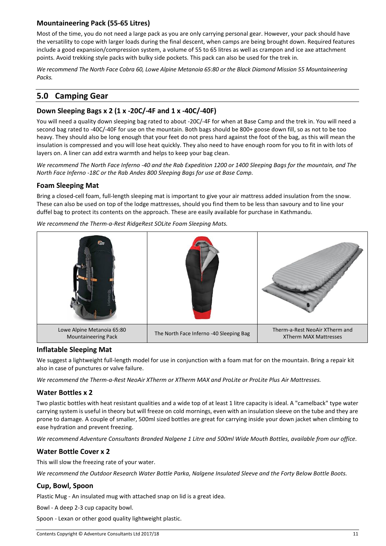# **Mountaineering Pack (55-65 Litres)**

Most of the time, you do not need a large pack as you are only carrying personal gear. However, your pack should have the versatility to cope with larger loads during the final descent, when camps are being brought down. Required features include a good expansion/compression system, a volume of 55 to 65 litres as well as crampon and ice axe attachment points. Avoid trekking style packs with bulky side pockets. This pack can also be used for the trek in.

*We recommend The North Face Cobra 60, Lowe Alpine Metanoia 65:80 or the Black Diamond Mission 55 Mountaineering Packs.*

# **5.0 Camping Gear**

## **Down Sleeping Bags x 2 (1 x -20C/-4F and 1 x -40C/-40F)**

You will need a quality down sleeping bag rated to about -20C/-4F for when at Base Camp and the trek in. You will need a second bag rated to -40C/-40F for use on the mountain. Both bags should be 800+ goose down fill, so as not to be too heavy. They should also be long enough that your feet do not press hard against the foot of the bag, as this will mean the insulation is compressed and you will lose heat quickly. They also need to have enough room for you to fit in with lots of layers on. A liner can add extra warmth and helps to keep your bag clean.

*We recommend The North Face Inferno -40 and the Rab Expedition 1200 or 1400 Sleeping Bags for the mountain, and The North Face Inferno -18C or the Rab Andes 800 Sleeping Bags for use at Base Camp.*

#### **Foam Sleeping Mat**

Bring a closed-cell foam, full-length sleeping mat is important to give your air mattress added insulation from the snow. These can also be used on top of the lodge mattresses, should you find them to be less than savoury and to line your duffel bag to protect its contents on the approach. These are easily available for purchase in Kathmandu.



*We recommend the Therm-a-Rest RidgeRest SOLite Foam Sleeping Mats.*

#### **Inflatable Sleeping Mat**

We suggest a lightweight full-length model for use in conjunction with a foam mat for on the mountain. Bring a repair kit also in case of punctures or valve failure.

*We recommend the Therm-a-Rest NeoAir XTherm or XTherm MAX and ProLite or ProLite Plus Air Mattresses.*

## **Water Bottles x 2**

Two plastic bottles with heat resistant qualities and a wide top of at least 1 litre capacity is ideal. A "camelback" type water carrying system is useful in theory but will freeze on cold mornings, even with an insulation sleeve on the tube and they are prone to damage. A couple of smaller, 500ml sized bottles are great for carrying inside your down jacket when climbing to ease hydration and prevent freezing.

*We recommend Adventure Consultants Branded Nalgene 1 Litre and 500ml Wide Mouth Bottles, available from our office.*

## **Water Bottle Cover x 2**

This will slow the freezing rate of your water.

*We recommend the Outdoor Research Water Bottle Parka, Nalgene Insulated Sleeve and the Forty Below Bottle Boots.*

## **Cup, Bowl, Spoon**

Plastic Mug - An insulated mug with attached snap on lid is a great idea.

Bowl - A deep 2-3 cup capacity bowl.

Spoon - Lexan or other good quality lightweight plastic.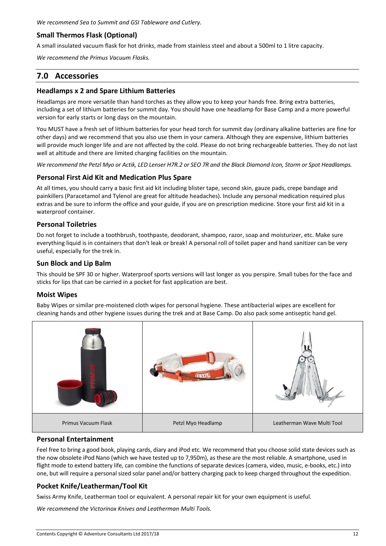*We recommend Sea to Summit and GSI Tableware and Cutlery.*

# **Small Thermos Flask (Optional)**

A small insulated vacuum flask for hot drinks, made from stainless steel and about a 500ml to 1 litre capacity.

*We recommend the Primus Vacuum Flasks.*

# **7.0 Accessories**

#### **Headlamps x 2 and Spare Lithium Batteries**

Headlamps are more versatile than hand torches as they allow you to keep your hands free. Bring extra batteries, including a set of lithium batteries for summit day. You should have one headlamp for Base Camp and a more powerful version for early starts or long days on the mountain.

You MUST have a fresh set of lithium batteries for your head torch for summit day (ordinary alkaline batteries are fine for other days) and we recommend that you also use them in your camera. Although they are expensive, lithium batteries will provide much longer life and are not affected by the cold. Please do not bring rechargeable batteries. They do not last well at altitude and there are limited charging facilities on the mountain.

*We recommend the Petzl Myo or Actik, LED Lenser H7R.2 or SEO 7R and the Black Diamond Icon, Storm or Spot Headlamps.*

#### **Personal First Aid Kit and Medication Plus Spare**

At all times, you should carry a basic first aid kit including blister tape, second skin, gauze pads, crepe bandage and painkillers (Paracetamol and Tylenol are great for altitude headaches). Include any personal medication required plus extras and be sure to inform the office and your guide, if you are on prescription medicine. Store your first aid kit in a waterproof container.

#### **Personal Toiletries**

Do not forget to include a toothbrush, toothpaste, deodorant, shampoo, razor, soap and moisturizer, etc. Make sure everything liquid is in containers that don't leak or break! A personal roll of toilet paper and hand sanitizer can be very useful, especially for the trek in.

#### **Sun Block and Lip Balm**

This should be SPF 30 or higher. Waterproof sports versions will last longer as you perspire. Small tubes for the face and sticks for lips that can be carried in a pocket for fast application are best.

#### **Moist Wipes**

Baby Wipes or similar pre-moistened cloth wipes for personal hygiene. These antibacterial wipes are excellent for cleaning hands and other hygiene issues during the trek and at Base Camp. Do also pack some antiseptic hand gel.



#### **Personal Entertainment**

Feel free to bring a good book, playing cards, diary and iPod etc. We recommend that you choose solid state devices such as the now obsolete iPod Nano (which we have tested up to 7,950m), as these are the most reliable. A smartphone, used in flight mode to extend battery life, can combine the functions of separate devices (camera, video, music, e-books, etc.) into one, but will require a personal sized solar panel and/or battery charging pack to keep charged throughout the expedition.

## **Pocket Knife/Leatherman/Tool Kit**

Swiss Army Knife, Leatherman tool or equivalent. A personal repair kit for your own equipment is useful.

*We recommend the Victorinox Knives and Leatherman Multi Tools.*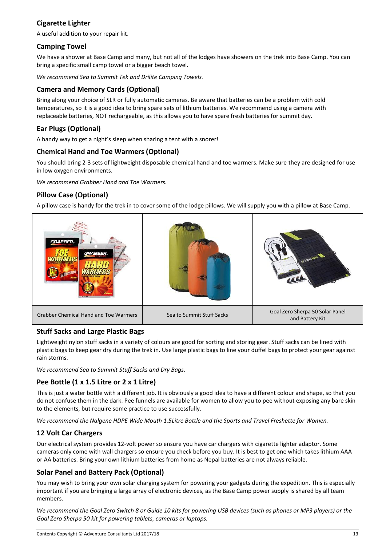# **Cigarette Lighter**

A useful addition to your repair kit.

## **Camping Towel**

We have a shower at Base Camp and many, but not all of the lodges have showers on the trek into Base Camp. You can bring a specific small camp towel or a bigger beach towel.

*We recommend Sea to Summit Tek and Drilite Camping Towels.*

## **Camera and Memory Cards (Optional)**

Bring along your choice of SLR or fully automatic cameras. Be aware that batteries can be a problem with cold temperatures, so it is a good idea to bring spare sets of lithium batteries. We recommend using a camera with replaceable batteries, NOT rechargeable, as this allows you to have spare fresh batteries for summit day.

# **Ear Plugs (Optional)**

A handy way to get a night's sleep when sharing a tent with a snorer!

# **Chemical Hand and Toe Warmers (Optional)**

You should bring 2-3 sets of lightweight disposable chemical hand and toe warmers. Make sure they are designed for use in low oxygen environments.

*We recommend Grabber Hand and Toe Warmers.*

# **Pillow Case (Optional)**

A pillow case is handy for the trek in to cover some of the lodge pillows. We will supply you with a pillow at Base Camp.



## **Stuff Sacks and Large Plastic Bags**

Lightweight nylon stuff sacks in a variety of colours are good for sorting and storing gear. Stuff sacks can be lined with plastic bags to keep gear dry during the trek in. Use large plastic bags to line your duffel bags to protect your gear against rain storms.

*We recommend Sea to Summit Stuff Sacks and Dry Bags.*

# **Pee Bottle (1 x 1.5 Litre or 2 x 1 Litre)**

This is just a water bottle with a different job. It is obviously a good idea to have a different colour and shape, so that you do not confuse them in the dark. Pee funnels are available for women to allow you to pee without exposing any bare skin to the elements, but require some practice to use successfully.

*We recommend the Nalgene HDPE Wide Mouth 1.5Litre Bottle and the Sports and Travel Freshette for Women.*

## **12 Volt Car Chargers**

Our electrical system provides 12-volt power so ensure you have car chargers with cigarette lighter adaptor. Some cameras only come with wall chargers so ensure you check before you buy. It is best to get one which takes lithium AAA or AA batteries. Bring your own lithium batteries from home as Nepal batteries are not always reliable.

# **Solar Panel and Battery Pack (Optional)**

You may wish to bring your own solar charging system for powering your gadgets during the expedition. This is especially important if you are bringing a large array of electronic devices, as the Base Camp power supply is shared by all team members.

*We recommend the Goal Zero Switch 8 or Guide 10 kits for powering USB devices (such as phones or MP3 players) or the Goal Zero Sherpa 50 kit for powering tablets, cameras or laptops.*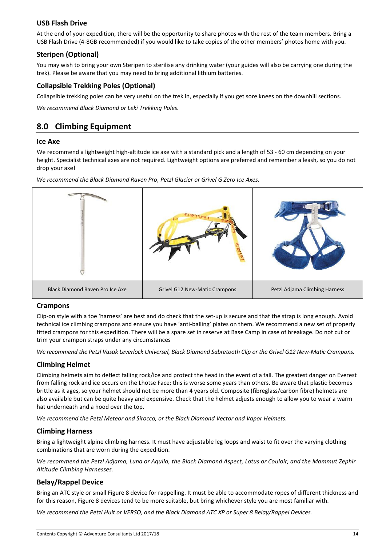#### **USB Flash Drive**

At the end of your expedition, there will be the opportunity to share photos with the rest of the team members. Bring a USB Flash Drive (4-8GB recommended) if you would like to take copies of the other members' photos home with you.

## **Steripen (Optional)**

You may wish to bring your own Steripen to sterilise any drinking water (your guides will also be carrying one during the trek). Please be aware that you may need to bring additional lithium batteries.

#### **Collapsible Trekking Poles (Optional)**

Collapsible trekking poles can be very useful on the trek in, especially if you get sore knees on the downhill sections.

*We recommend Black Diamond or Leki Trekking Poles.*

# **8.0 Climbing Equipment**

#### **Ice Axe**

We recommend a lightweight high-altitude ice axe with a standard pick and a length of 53 - 60 cm depending on your height. Specialist technical axes are not required. Lightweight options are preferred and remember a leash, so you do not drop your axe!

*We recommend the Black Diamond Raven Pro, Petzl Glacier or Grivel G Zero Ice Axes.*



#### **Crampons**

Clip-on style with a toe 'harness' are best and do check that the set-up is secure and that the strap is long enough. Avoid technical ice climbing crampons and ensure you have 'anti-balling' plates on them. We recommend a new set of properly fitted crampons for this expedition. There will be a spare set in reserve at Base Camp in case of breakage. Do not cut or trim your crampon straps under any circumstances

*We recommend the Petzl Vasak Leverlock Universel, Black Diamond Sabretooth Clip or the Grivel G12 New-Matic Crampons.*

#### **Climbing Helmet**

Climbing helmets aim to deflect falling rock/ice and protect the head in the event of a fall. The greatest danger on Everest from falling rock and ice occurs on the Lhotse Face; this is worse some years than others. Be aware that plastic becomes brittle as it ages, so your helmet should not be more than 4 years old. Composite (fibreglass/carbon fibre) helmets are also available but can be quite heavy and expensive. Check that the helmet adjusts enough to allow you to wear a warm hat underneath and a hood over the top.

*We recommend the Petzl Meteor and Sirocco, or the Black Diamond Vector and Vapor Helmets.*

#### **Climbing Harness**

Bring a lightweight alpine climbing harness. It must have adjustable leg loops and waist to fit over the varying clothing combinations that are worn during the expedition.

*We recommend the Petzl Adjama, Luna or Aquila, the Black Diamond Aspect, Lotus or Couloir, and the Mammut Zephir Altitude Climbing Harnesses.*

#### **Belay/Rappel Device**

Bring an ATC style or small Figure 8 device for rappelling. It must be able to accommodate ropes of different thickness and for this reason, Figure 8 devices tend to be more suitable, but bring whichever style you are most familiar with.

*We recommend the Petzl Huit or VERSO, and the Black Diamond ATC XP or Super 8 Belay/Rappel Devices.*